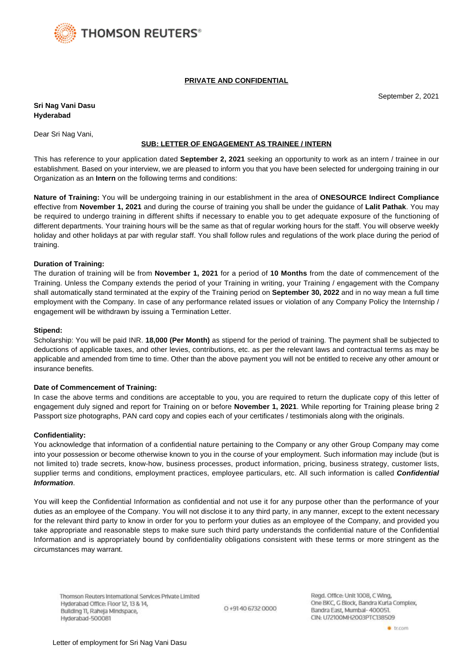

## **PRIVATE AND CONFIDENTIAL**

September 2, 2021

**Sri Nag Vani Dasu Hyderabad**

Dear Sri Nag Vani,

## **SUB: LETTER OF ENGAGEMENT AS TRAINEE / INTERN**

This has reference to your application dated **September 2, 2021** seeking an opportunity to work as an intern / trainee in our establishment. Based on your interview, we are pleased to inform you that you have been selected for undergoing training in our Organization as an **Intern** on the following terms and conditions:

**Nature of Training:** You will be undergoing training in our establishment in the area of **ONESOURCE Indirect Compliance** effective from **November 1, 2021** and during the course of training you shall be under the guidance of **Lalit Pathak**. You may be required to undergo training in different shifts if necessary to enable you to get adequate exposure of the functioning of different departments. Your training hours will be the same as that of regular working hours for the staff. You will observe weekly holiday and other holidays at par with regular staff. You shall follow rules and regulations of the work place during the period of training.

## **Duration of Training:**

The duration of training will be from **November 1, 2021** for a period of **10 Months** from the date of commencement of the Training. Unless the Company extends the period of your Training in writing, your Training / engagement with the Company shall automatically stand terminated at the expiry of the Training period on **September 30, 2022** and in no way mean a full time employment with the Company. In case of any performance related issues or violation of any Company Policy the Internship / engagement will be withdrawn by issuing a Termination Letter.

### **Stipend:**

Scholarship: You will be paid INR. **18,000 (Per Month)** as stipend for the period of training. The payment shall be subjected to deductions of applicable taxes, and other levies, contributions, etc. as per the relevant laws and contractual terms as may be applicable and amended from time to time. Other than the above payment you will not be entitled to receive any other amount or insurance benefits.

### **Date of Commencement of Training:**

In case the above terms and conditions are acceptable to you, you are required to return the duplicate copy of this letter of engagement duly signed and report for Training on or before **November 1, 2021**. While reporting for Training please bring 2 Passport size photographs, PAN card copy and copies each of your certificates / testimonials along with the originals.

### **Confidentiality:**

You acknowledge that information of a confidential nature pertaining to the Company or any other Group Company may come into your possession or become otherwise known to you in the course of your employment. Such information may include (but is not limited to) trade secrets, know-how, business processes, product information, pricing, business strategy, customer lists, supplier terms and conditions, employment practices, employee particulars, etc. All such information is called **Confidential Information**.

You will keep the Confidential Information as confidential and not use it for any purpose other than the performance of your duties as an employee of the Company. You will not disclose it to any third party, in any manner, except to the extent necessary for the relevant third party to know in order for you to perform your duties as an employee of the Company, and provided you take appropriate and reasonable steps to make sure such third party understands the confidential nature of the Confidential Information and is appropriately bound by confidentiality obligations consistent with these terms or more stringent as the circumstances may warrant.

Thomson Reuters International Services Private Limited Hyderabad Office: Floor 12, 13 & 14, Building 11, Raheja Mindspace, Hyderabad-500081

0+9140 6732 0000

Regd. Office: Unit 1008, C Wing, One BKC, G Block, Bandra Kurla Complex, Bandra East, Mumbal- 400051. CIN: U72100MH2003PTC138509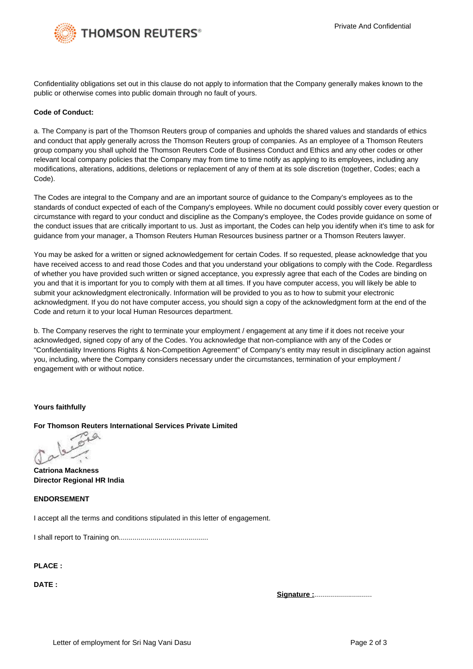

Confidentiality obligations set out in this clause do not apply to information that the Company generally makes known to the public or otherwise comes into public domain through no fault of yours.

## **Code of Conduct:**

a. The Company is part of the Thomson Reuters group of companies and upholds the shared values and standards of ethics and conduct that apply generally across the Thomson Reuters group of companies. As an employee of a Thomson Reuters group company you shall uphold the Thomson Reuters Code of Business Conduct and Ethics and any other codes or other relevant local company policies that the Company may from time to time notify as applying to its employees, including any modifications, alterations, additions, deletions or replacement of any of them at its sole discretion (together, Codes; each a Code).

The Codes are integral to the Company and are an important source of guidance to the Company's employees as to the standards of conduct expected of each of the Company's employees. While no document could possibly cover every question or circumstance with regard to your conduct and discipline as the Company's employee, the Codes provide guidance on some of the conduct issues that are critically important to us. Just as important, the Codes can help you identify when it's time to ask for guidance from your manager, a Thomson Reuters Human Resources business partner or a Thomson Reuters lawyer.

You may be asked for a written or signed acknowledgement for certain Codes. If so requested, please acknowledge that you have received access to and read those Codes and that you understand your obligations to comply with the Code. Regardless of whether you have provided such written or signed acceptance, you expressly agree that each of the Codes are binding on you and that it is important for you to comply with them at all times. If you have computer access, you will likely be able to submit your acknowledgment electronically. Information will be provided to you as to how to submit your electronic acknowledgment. If you do not have computer access, you should sign a copy of the acknowledgment form at the end of the Code and return it to your local Human Resources department.

b. The Company reserves the right to terminate your employment / engagement at any time if it does not receive your acknowledged, signed copy of any of the Codes. You acknowledge that non-compliance with any of the Codes or "Confidentiality Inventions Rights & Non-Competition Agreement" of Company's entity may result in disciplinary action against you, including, where the Company considers necessary under the circumstances, termination of your employment / engagement with or without notice.

## **Yours faithfully**

## **For Thomson Reuters International Services Private Limited**

 $\triangle$ 

**Catriona Mackness Director Regional HR India**

# **ENDORSEMENT**

I accept all the terms and conditions stipulated in this letter of engagement.

I shall report to Training on.............................................

**PLACE :**

**DATE :**

**Signature :**.............................